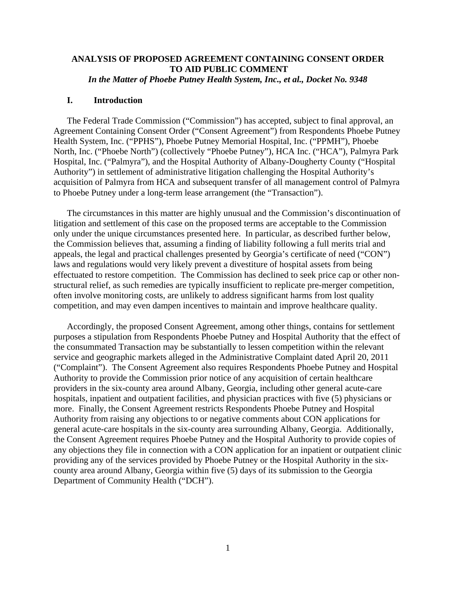# **ANALYSIS OF PROPOSED AGREEMENT CONTAINING CONSENT ORDER TO AID PUBLIC COMMENT**

*In the Matter of Phoebe Putney Health System, Inc., et al., Docket No. 9348* 

# **I. Introduction**

The Federal Trade Commission ("Commission") has accepted, subject to final approval, an Agreement Containing Consent Order ("Consent Agreement") from Respondents Phoebe Putney Health System, Inc. ("PPHS"), Phoebe Putney Memorial Hospital, Inc. ("PPMH"), Phoebe North, Inc. ("Phoebe North") (collectively "Phoebe Putney"), HCA Inc. ("HCA"), Palmyra Park Hospital, Inc. ("Palmyra"), and the Hospital Authority of Albany-Dougherty County ("Hospital Authority") in settlement of administrative litigation challenging the Hospital Authority's acquisition of Palmyra from HCA and subsequent transfer of all management control of Palmyra to Phoebe Putney under a long-term lease arrangement (the "Transaction").

The circumstances in this matter are highly unusual and the Commission's discontinuation of litigation and settlement of this case on the proposed terms are acceptable to the Commission only under the unique circumstances presented here. In particular, as described further below, the Commission believes that, assuming a finding of liability following a full merits trial and appeals, the legal and practical challenges presented by Georgia's certificate of need ("CON") laws and regulations would very likely prevent a divestiture of hospital assets from being effectuated to restore competition. The Commission has declined to seek price cap or other nonstructural relief, as such remedies are typically insufficient to replicate pre-merger competition, often involve monitoring costs, are unlikely to address significant harms from lost quality competition, and may even dampen incentives to maintain and improve healthcare quality.

Accordingly, the proposed Consent Agreement, among other things, contains for settlement purposes a stipulation from Respondents Phoebe Putney and Hospital Authority that the effect of the consummated Transaction may be substantially to lessen competition within the relevant service and geographic markets alleged in the Administrative Complaint dated April 20, 2011 ("Complaint"). The Consent Agreement also requires Respondents Phoebe Putney and Hospital Authority to provide the Commission prior notice of any acquisition of certain healthcare providers in the six-county area around Albany, Georgia, including other general acute-care hospitals, inpatient and outpatient facilities, and physician practices with five (5) physicians or more. Finally, the Consent Agreement restricts Respondents Phoebe Putney and Hospital Authority from raising any objections to or negative comments about CON applications for general acute-care hospitals in the six-county area surrounding Albany, Georgia. Additionally, the Consent Agreement requires Phoebe Putney and the Hospital Authority to provide copies of any objections they file in connection with a CON application for an inpatient or outpatient clinic providing any of the services provided by Phoebe Putney or the Hospital Authority in the sixcounty area around Albany, Georgia within five (5) days of its submission to the Georgia Department of Community Health ("DCH").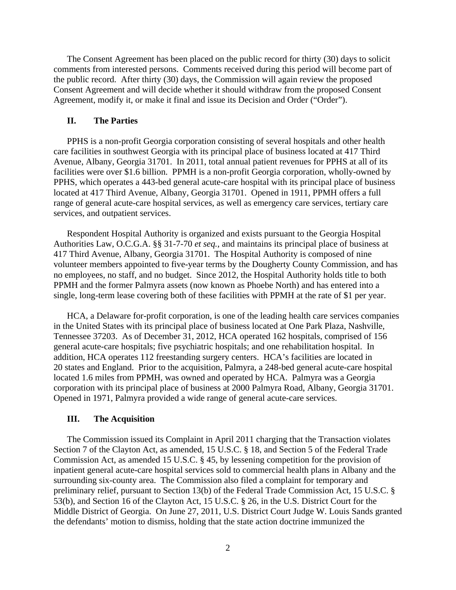The Consent Agreement has been placed on the public record for thirty (30) days to solicit comments from interested persons. Comments received during this period will become part of the public record. After thirty (30) days, the Commission will again review the proposed Consent Agreement and will decide whether it should withdraw from the proposed Consent Agreement, modify it, or make it final and issue its Decision and Order ("Order").

## **II. The Parties**

PPHS is a non-profit Georgia corporation consisting of several hospitals and other health care facilities in southwest Georgia with its principal place of business located at 417 Third Avenue, Albany, Georgia 31701. In 2011, total annual patient revenues for PPHS at all of its facilities were over \$1.6 billion. PPMH is a non-profit Georgia corporation, wholly-owned by PPHS, which operates a 443-bed general acute-care hospital with its principal place of business located at 417 Third Avenue, Albany, Georgia 31701. Opened in 1911, PPMH offers a full range of general acute-care hospital services, as well as emergency care services, tertiary care services, and outpatient services.

Respondent Hospital Authority is organized and exists pursuant to the Georgia Hospital Authorities Law, O.C.G.A. §§ 31-7-70 *et seq.*, and maintains its principal place of business at 417 Third Avenue, Albany, Georgia 31701. The Hospital Authority is composed of nine volunteer members appointed to five-year terms by the Dougherty County Commission, and has no employees, no staff, and no budget. Since 2012, the Hospital Authority holds title to both PPMH and the former Palmyra assets (now known as Phoebe North) and has entered into a single, long-term lease covering both of these facilities with PPMH at the rate of \$1 per year.

HCA, a Delaware for-profit corporation, is one of the leading health care services companies in the United States with its principal place of business located at One Park Plaza, Nashville, Tennessee 37203. As of December 31, 2012, HCA operated 162 hospitals, comprised of 156 general acute-care hospitals; five psychiatric hospitals; and one rehabilitation hospital. In addition, HCA operates 112 freestanding surgery centers. HCA's facilities are located in 20 states and England. Prior to the acquisition, Palmyra, a 248-bed general acute-care hospital located 1.6 miles from PPMH, was owned and operated by HCA. Palmyra was a Georgia corporation with its principal place of business at 2000 Palmyra Road, Albany, Georgia 31701. Opened in 1971, Palmyra provided a wide range of general acute-care services.

#### **III. The Acquisition**

The Commission issued its Complaint in April 2011 charging that the Transaction violates Section 7 of the Clayton Act, as amended, 15 U.S.C. § 18, and Section 5 of the Federal Trade Commission Act, as amended 15 U.S.C. § 45, by lessening competition for the provision of inpatient general acute-care hospital services sold to commercial health plans in Albany and the surrounding six-county area. The Commission also filed a complaint for temporary and preliminary relief, pursuant to Section 13(b) of the Federal Trade Commission Act, 15 U.S.C. § 53(b), and Section 16 of the Clayton Act, 15 U.S.C. § 26, in the U.S. District Court for the Middle District of Georgia. On June 27, 2011, U.S. District Court Judge W. Louis Sands granted the defendants' motion to dismiss, holding that the state action doctrine immunized the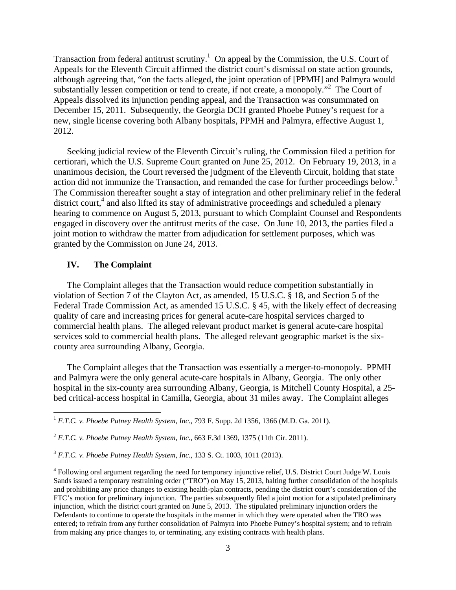Transaction from federal antitrust scrutiny.<sup>1</sup> On appeal by the Commission, the U.S. Court of Appeals for the Eleventh Circuit affirmed the district court's dismissal on state action grounds, although agreeing that, "on the facts alleged, the joint operation of [PPMH] and Palmyra would substantially lessen competition or tend to create, if not create, a monopoly."<sup>2</sup> The Court of Appeals dissolved its injunction pending appeal, and the Transaction was consummated on December 15, 2011. Subsequently, the Georgia DCH granted Phoebe Putney's request for a new, single license covering both Albany hospitals, PPMH and Palmyra, effective August 1, 2012.

Seeking judicial review of the Eleventh Circuit's ruling, the Commission filed a petition for certiorari, which the U.S. Supreme Court granted on June 25, 2012. On February 19, 2013, in a unanimous decision, the Court reversed the judgment of the Eleventh Circuit, holding that state action did not immunize the Transaction, and remanded the case for further proceedings below.<sup>3</sup> The Commission thereafter sought a stay of integration and other preliminary relief in the federal district court,<sup>4</sup> and also lifted its stay of administrative proceedings and scheduled a plenary hearing to commence on August 5, 2013, pursuant to which Complaint Counsel and Respondents engaged in discovery over the antitrust merits of the case. On June 10, 2013, the parties filed a joint motion to withdraw the matter from adjudication for settlement purposes, which was granted by the Commission on June 24, 2013.

## **IV. The Complaint**

 $\overline{a}$ 

The Complaint alleges that the Transaction would reduce competition substantially in violation of Section 7 of the Clayton Act, as amended, 15 U.S.C. § 18, and Section 5 of the Federal Trade Commission Act, as amended 15 U.S.C. § 45, with the likely effect of decreasing quality of care and increasing prices for general acute-care hospital services charged to commercial health plans. The alleged relevant product market is general acute-care hospital services sold to commercial health plans. The alleged relevant geographic market is the sixcounty area surrounding Albany, Georgia.

The Complaint alleges that the Transaction was essentially a merger-to-monopoly. PPMH and Palmyra were the only general acute-care hospitals in Albany, Georgia. The only other hospital in the six-county area surrounding Albany, Georgia, is Mitchell County Hospital, a 25 bed critical-access hospital in Camilla, Georgia, about 31 miles away. The Complaint alleges

<sup>1</sup> *F.T.C. v. Phoebe Putney Health System, Inc.*, 793 F. Supp. 2d 1356, 1366 (M.D. Ga. 2011).

<sup>2</sup> *F.T.C. v. Phoebe Putney Health System, Inc.*, 663 F.3d 1369, 1375 (11th Cir. 2011).

<sup>3</sup> *F.T.C. v. Phoebe Putney Health System, Inc.*, 133 S. Ct. 1003, 1011 (2013).

<sup>&</sup>lt;sup>4</sup> Following oral argument regarding the need for temporary injunctive relief, U.S. District Court Judge W. Louis Sands issued a temporary restraining order ("TRO") on May 15, 2013, halting further consolidation of the hospitals and prohibiting any price changes to existing health-plan contracts, pending the district court's consideration of the FTC's motion for preliminary injunction. The parties subsequently filed a joint motion for a stipulated preliminary injunction, which the district court granted on June 5, 2013. The stipulated preliminary injunction orders the Defendants to continue to operate the hospitals in the manner in which they were operated when the TRO was entered; to refrain from any further consolidation of Palmyra into Phoebe Putney's hospital system; and to refrain from making any price changes to, or terminating, any existing contracts with health plans.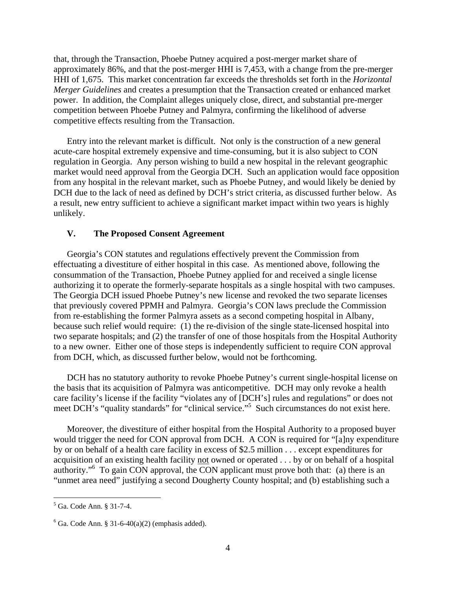that, through the Transaction, Phoebe Putney acquired a post-merger market share of approximately 86%, and that the post-merger HHI is 7,453, with a change from the pre-merger HHI of 1,675. This market concentration far exceeds the thresholds set forth in the *Horizontal Merger Guidelines* and creates a presumption that the Transaction created or enhanced market power. In addition, the Complaint alleges uniquely close, direct, and substantial pre-merger competition between Phoebe Putney and Palmyra, confirming the likelihood of adverse competitive effects resulting from the Transaction.

Entry into the relevant market is difficult. Not only is the construction of a new general acute-care hospital extremely expensive and time-consuming, but it is also subject to CON regulation in Georgia. Any person wishing to build a new hospital in the relevant geographic market would need approval from the Georgia DCH. Such an application would face opposition from any hospital in the relevant market, such as Phoebe Putney, and would likely be denied by DCH due to the lack of need as defined by DCH's strict criteria, as discussed further below. As a result, new entry sufficient to achieve a significant market impact within two years is highly unlikely.

## **V. The Proposed Consent Agreement**

Georgia's CON statutes and regulations effectively prevent the Commission from effectuating a divestiture of either hospital in this case. As mentioned above, following the consummation of the Transaction, Phoebe Putney applied for and received a single license authorizing it to operate the formerly-separate hospitals as a single hospital with two campuses. The Georgia DCH issued Phoebe Putney's new license and revoked the two separate licenses that previously covered PPMH and Palmyra. Georgia's CON laws preclude the Commission from re-establishing the former Palmyra assets as a second competing hospital in Albany, because such relief would require: (1) the re-division of the single state-licensed hospital into two separate hospitals; and (2) the transfer of one of those hospitals from the Hospital Authority to a new owner. Either one of those steps is independently sufficient to require CON approval from DCH, which, as discussed further below, would not be forthcoming.

DCH has no statutory authority to revoke Phoebe Putney's current single-hospital license on the basis that its acquisition of Palmyra was anticompetitive. DCH may only revoke a health care facility's license if the facility "violates any of [DCH's] rules and regulations" or does not meet DCH's "quality standards" for "clinical service."<sup>5</sup> Such circumstances do not exist here.

Moreover, the divestiture of either hospital from the Hospital Authority to a proposed buyer would trigger the need for CON approval from DCH. A CON is required for "[a]ny expenditure by or on behalf of a health care facility in excess of \$2.5 million . . . except expenditures for acquisition of an existing health facility not owned or operated . . . by or on behalf of a hospital authority."<sup>6</sup> To gain CON approval, the CON applicant must prove both that: (a) there is an "unmet area need" justifying a second Dougherty County hospital; and (b) establishing such a

 $\overline{a}$ 

<sup>5</sup> Ga. Code Ann. § 31-7-4.

 $6$  Ga. Code Ann. § 31-6-40(a)(2) (emphasis added).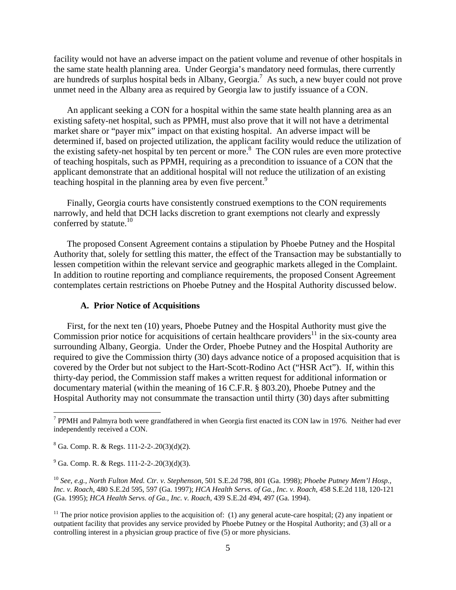facility would not have an adverse impact on the patient volume and revenue of other hospitals in the same state health planning area. Under Georgia's mandatory need formulas, there currently are hundreds of surplus hospital beds in Albany, Georgia.<sup>7</sup> As such, a new buyer could not prove unmet need in the Albany area as required by Georgia law to justify issuance of a CON.

An applicant seeking a CON for a hospital within the same state health planning area as an existing safety-net hospital, such as PPMH, must also prove that it will not have a detrimental market share or "payer mix" impact on that existing hospital. An adverse impact will be determined if, based on projected utilization, the applicant facility would reduce the utilization of the existing safety-net hospital by ten percent or more.<sup>8</sup> The CON rules are even more protective of teaching hospitals, such as PPMH, requiring as a precondition to issuance of a CON that the applicant demonstrate that an additional hospital will not reduce the utilization of an existing teaching hospital in the planning area by even five percent.<sup>9</sup>

Finally, Georgia courts have consistently construed exemptions to the CON requirements narrowly, and held that DCH lacks discretion to grant exemptions not clearly and expressly conferred by statute. $10$ 

The proposed Consent Agreement contains a stipulation by Phoebe Putney and the Hospital Authority that, solely for settling this matter, the effect of the Transaction may be substantially to lessen competition within the relevant service and geographic markets alleged in the Complaint. In addition to routine reporting and compliance requirements, the proposed Consent Agreement contemplates certain restrictions on Phoebe Putney and the Hospital Authority discussed below.

## **A. Prior Notice of Acquisitions**

First, for the next ten (10) years, Phoebe Putney and the Hospital Authority must give the Commission prior notice for acquisitions of certain healthcare providers<sup>11</sup> in the six-county area surrounding Albany, Georgia. Under the Order, Phoebe Putney and the Hospital Authority are required to give the Commission thirty (30) days advance notice of a proposed acquisition that is covered by the Order but not subject to the Hart-Scott-Rodino Act ("HSR Act"). If, within this thirty-day period, the Commission staff makes a written request for additional information or documentary material (within the meaning of 16 C.F.R. § 803.20), Phoebe Putney and the Hospital Authority may not consummate the transaction until thirty (30) days after submitting

1

<sup>&</sup>lt;sup>7</sup> PPMH and Palmyra both were grandfathered in when Georgia first enacted its CON law in 1976. Neither had ever independently received a CON.

 $8^8$  Ga. Comp. R. & Regs. 111-2-2-.20(3)(d)(2).

 $9^9$  Ga. Comp. R. & Regs. 111-2-2-.20(3)(d)(3).

<sup>10</sup> *See, e.g., North Fulton Med. Ctr. v. Stephenson*, 501 S.E.2d 798, 801 (Ga. 1998); *Phoebe Putney Mem'l Hosp., Inc. v. Roach*, 480 S.E.2d 595, 597 (Ga. 1997); *HCA Health Servs. of Ga., Inc. v. Roach*, 458 S.E.2d 118, 120-121 (Ga. 1995); *HCA Health Servs. of Ga., Inc. v. Roach*, 439 S.E.2d 494, 497 (Ga. 1994).

<sup>&</sup>lt;sup>11</sup> The prior notice provision applies to the acquisition of: (1) any general acute-care hospital; (2) any inpatient or outpatient facility that provides any service provided by Phoebe Putney or the Hospital Authority; and (3) all or a controlling interest in a physician group practice of five (5) or more physicians.